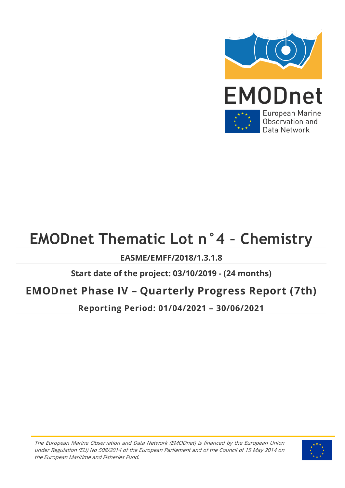

# **EMODnet Thematic Lot n°4 – Chemistry**

### **EASME/EMFF/2018/1.3.1.8**

### **Start date of the project: 03/10/2019 - (24 months)**

### **EMODnet Phase IV – Quarterly Progress Report (7th)**

**Reporting Period: 01/04/2021 – 30/06/2021**

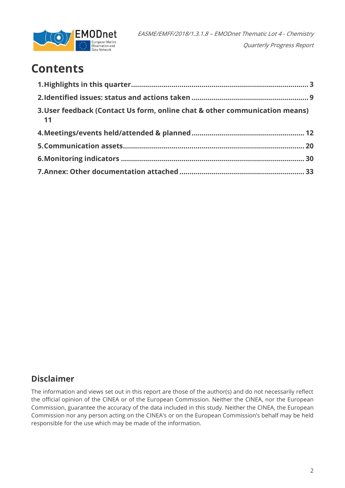

## **Contents**

| 3. User feedback (Contact Us form, online chat & other communication means)<br>$\overline{11}$ |  |
|------------------------------------------------------------------------------------------------|--|
|                                                                                                |  |
|                                                                                                |  |
|                                                                                                |  |
|                                                                                                |  |

### **Disclaimer**

The information and views set out in this report are those of the author(s) and do not necessarily reflect the official opinion of the CINEA or of the European Commission. Neither the CINEA, nor the European Commission, guarantee the accuracy of the data included in this study. Neither the CINEA, the European Commission nor any person acting on the CINEA's or on the European Commission's behalf may be held responsible for the use which may be made of the information.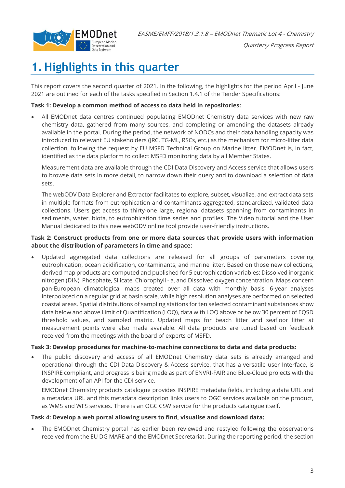

## <span id="page-2-0"></span>**1. Highlights in this quarter**

This report covers the second quarter of 2021. In the following, the highlights for the period April - June 2021 are outlined for each of the tasks specified in Section 1.4.1 of the Tender Specifications:

#### **Task 1: Develop a common method of access to data held in repositories:**

• All EMODnet data centres continued populating EMODnet Chemistry data services with new raw chemistry data, gathered from many sources, and completing or amending the datasets already available in the portal. During the period, the network of NODCs and their data handling capacity was introduced to relevant EU stakeholders (JRC, TG-ML, RSCs, etc.) as the mechanism for micro-litter data collection, following the request by EU MSFD Technical Group on Marine litter. EMODnet is, in fact, identified as the data platform to collect MSFD monitoring data by all Member States.

Measurement data are available through the CDI Data Discovery and Access service that allows users to browse data sets in more detail, to narrow down their query and to download a selection of data sets.

The webODV Data Explorer and Extractor facilitates to explore, subset, visualize, and extract data sets in multiple formats from eutrophication and contaminants aggregated, standardized, validated data collections. Users get access to thirty-one large, regional datasets spanning from contaminants in sediments, water, biota, to eutrophication time series and profiles. The Video tutorial and the User Manual dedicated to this new webODV online tool provide user-friendly instructions.

#### **Task 2: Construct products from one or more data sources that provide users with information about the distribution of parameters in time and space:**

• Updated aggregated data collections are released for all groups of parameters covering eutrophication, ocean acidification, contaminants, and marine litter. Based on those new collections, derived map products are computed and published for 5 eutrophication variables: Dissolved inorganic nitrogen (DIN), Phosphate, Silicate, Chlorophyll - a, and Dissolved oxygen concentration. Maps concern pan-European climatological maps created over all data with monthly basis, 6-year analyses interpolated on a regular grid at basin scale, while high resolution analyses are performed on selected coastal areas. Spatial distributions of sampling stations for ten selected contaminant substances show data below and above Limit of Quantification (LOQ), data with LOQ above or below 30 percent of EQSD threshold values, and sampled matrix. Updated maps for beach litter and seafloor litter at measurement points were also made available. All data products are tuned based on feedback received from the meetings with the board of experts of MSFD.

#### **Task 3: Develop procedures for machine-to-machine connections to data and data products:**

• The public discovery and access of all EMODnet Chemistry data sets is already arranged and operational through the CDI Data Discovery & Access service, that has a versatile user Interface, is INSPIRE compliant, and progress is being made as part of ENVRI-FAIR and Blue-Cloud projects with the development of an API for the CDI service.

EMODnet Chemistry products catalogue provides INSPIRE metadata fields, including a data URL and a metadata URL and this metadata description links users to OGC services available on the product, as WMS and WFS services. There is an OGC CSW service for the products catalogue itself.

#### **Task 4: Develop a web portal allowing users to find, visualise and download data:**

• The EMODnet Chemistry portal has earlier been reviewed and restyled following the observations received from the EU DG MARE and the EMODnet Secretariat. During the reporting period, the section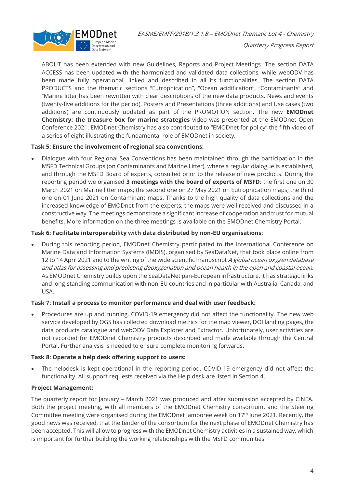

Quarterly Progress Report

ABOUT has been extended with new Guidelines, Reports and Project Meetings. The section DATA ACCESS has been updated with the harmonized and validated data collections, while webODV has been made fully operational, linked and described in all its functionalities. The section DATA PRODUCTS and the thematic sections "Eutrophication", "Ocean acidification", "Contaminants" and "Marine litter has been rewritten with clear descriptions of the new data products. News and events (twenty-five additions for the period), Posters and Presentations (three additions) and Use cases (two additions) are continuously updated as part of the PROMOTION section. The new **EMODnet Chemistry: the treasure box for marine strategies** video was presented at the EMODnet Open Conference 2021. EMODnet Chemistry has also contributed to "EMODnet for policy" the fifth video of a series of eight illustrating the fundamental role of EMODnet in society.

#### **Task 5: Ensure the involvement of regional sea conventions:**

• Dialogue with four Regional Sea Conventions has been maintained through the participation in the MSFD Technical Groups (on Contaminants and Marine Litter), where a regular dialogue is established, and through the MSFD Board of experts, consulted prior to the release of new products. During the reporting period we organised **3 meetings with the board of experts of MSFD**: the first one on 30 March 2021 on Marine litter maps; the second one on 27 May 2021 on Eutrophication maps; the third one on 01 June 2021 on Contaminant maps. Thanks to the high quality of data collections and the increased knowledge of EMODnet from the experts, the maps were well received and discussed in a constructive way. The meetings demonstrate a significant increase of cooperation and trust for mutual benefits. More information on the three meetings is available on the EMODnet Chemistry Portal.

#### **Task 6: Facilitate interoperability with data distributed by non-EU organisations:**

• During this reporting period, EMODnet Chemistry participated to the International Conference on Marine Data and Information Systems (IMDIS), organised by SeaDataNet, that took place online from 12 to 14 April 2021 and to the writing of the wide scientific manuscript A global ocean oxygen database and atlas for assessing and predicting deoxygenation and ocean health in the open and coastal ocean. As EMODnet Chemistry builds upon the SeaDataNet pan-European infrastructure, it has strategic links and long-standing communication with non-EU countries and in particular with Australia, Canada, and USA.

#### **Task 7: Install a process to monitor performance and deal with user feedback:**

• Procedures are up and running. COVID-19 emergency did not affect the functionality. The new web service developed by OGS has collected download metrics for the map viewer, DOI landing pages, the data products catalogue and webODV Data Explorer and Extractor. Unfortunately, user activities are not recorded for EMODnet Chemistry products described and made available through the Central Portal. Further analysis is needed to ensure complete monitoring forwards.

#### **Task 8: Operate a help desk offering support to users:**

The helpdesk is kept operational in the reporting period. COVID-19 emergency did not affect the functionality. All support requests received via the Help desk are listed in Section 4.

#### **Project Management:**

The quarterly report for January – March 2021 was produced and after submission accepted by CINEA. Both the project meeting, with all members of the EMODnet Chemistry consortium, and the Steering Committee meeting were organised during the EMODnet Jamboree week on 17<sup>th</sup> June 2021. Recently, the good news was received, that the tender of the consortium for the next phase of EMODnet Chemistry has been accepted. This will allow to progress with the EMODnet Chemistry activities in a sustained way, which is important for further building the working relationships with the MSFD communities.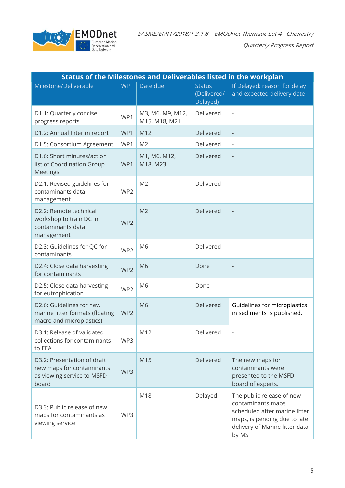

| <b>Status of the Milestones and Deliverables listed in the workplan</b>                         |                 |                                   |                                          |                                                                                                                                                            |  |  |  |  |
|-------------------------------------------------------------------------------------------------|-----------------|-----------------------------------|------------------------------------------|------------------------------------------------------------------------------------------------------------------------------------------------------------|--|--|--|--|
| Milestone/Deliverable                                                                           | <b>WP</b>       | Date due                          | <b>Status</b><br>(Delivered/<br>Delayed) | If Delayed: reason for delay<br>and expected delivery date                                                                                                 |  |  |  |  |
| D1.1: Quarterly concise<br>progress reports                                                     | WP1             | M3, M6, M9, M12,<br>M15, M18, M21 | Delivered                                | $\overline{\phantom{a}}$                                                                                                                                   |  |  |  |  |
| D1.2: Annual Interim report                                                                     | WP1             | M12                               | Delivered                                |                                                                                                                                                            |  |  |  |  |
| D1.5: Consortium Agreement                                                                      | WP1             | M <sub>2</sub>                    | Delivered                                | $\overline{\phantom{a}}$                                                                                                                                   |  |  |  |  |
| D1.6: Short minutes/action<br>list of Coordination Group<br><b>Meetings</b>                     | WP1             | M1, M6, M12,<br>M18, M23          | Delivered                                | $\overline{\phantom{m}}$                                                                                                                                   |  |  |  |  |
| D2.1: Revised guidelines for<br>contaminants data<br>management                                 | WP <sub>2</sub> | M <sub>2</sub>                    | Delivered                                | $\overline{\phantom{a}}$                                                                                                                                   |  |  |  |  |
| D2.2: Remote technical<br>workshop to train DC in<br>contaminants data<br>management            | WP <sub>2</sub> | M <sub>2</sub>                    | Delivered                                | $\overline{\phantom{m}}$                                                                                                                                   |  |  |  |  |
| D2.3: Guidelines for QC for<br>contaminants                                                     | WP <sub>2</sub> | M <sub>6</sub>                    | Delivered                                | $\overline{\phantom{m}}$                                                                                                                                   |  |  |  |  |
| D2.4: Close data harvesting<br>for contaminants                                                 | WP <sub>2</sub> | M <sub>6</sub>                    | Done                                     | $\overline{\phantom{m}}$                                                                                                                                   |  |  |  |  |
| D2.5: Close data harvesting<br>for eutrophication                                               | WP2             | M <sub>6</sub>                    | Done                                     | $\overline{\phantom{a}}$                                                                                                                                   |  |  |  |  |
| D2.6: Guidelines for new<br>marine litter formats (floating<br>macro and microplastics)         | WP2             | M <sub>6</sub>                    | Delivered                                | Guidelines for microplastics<br>in sediments is published.                                                                                                 |  |  |  |  |
| D3.1: Release of validated<br>collections for contaminants<br>to EEA                            | WP3             | M12                               | Delivered                                |                                                                                                                                                            |  |  |  |  |
| D3.2: Presentation of draft<br>new maps for contaminants<br>as viewing service to MSFD<br>board | WP3             | M15                               | Delivered                                | The new maps for<br>contaminants were<br>presented to the MSFD<br>board of experts.                                                                        |  |  |  |  |
| D3.3: Public release of new<br>maps for contaminants as<br>viewing service                      | WP3             | M18                               | Delayed                                  | The public release of new<br>contaminants maps<br>scheduled after marine litter<br>maps, is pending due to late<br>delivery of Marine litter data<br>by MS |  |  |  |  |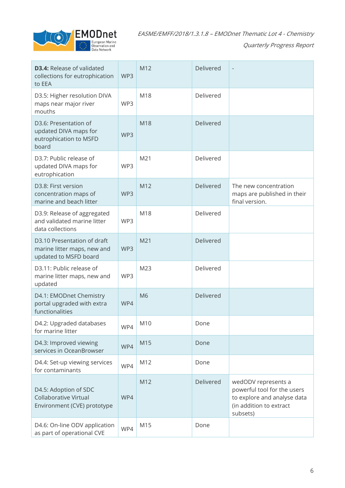

| <b>D3.4: Release of validated</b><br>collections for eutrophication<br>to EEA       | WP3 | M12            | Delivered | $\overline{\phantom{m}}$                                                                                                 |
|-------------------------------------------------------------------------------------|-----|----------------|-----------|--------------------------------------------------------------------------------------------------------------------------|
| D3.5: Higher resolution DIVA<br>maps near major river<br>mouths                     | WP3 | M18            | Delivered |                                                                                                                          |
| D3.6: Presentation of<br>updated DIVA maps for<br>eutrophication to MSFD<br>board   | WP3 | M18            | Delivered |                                                                                                                          |
| D3.7: Public release of<br>updated DIVA maps for<br>eutrophication                  | WP3 | M21            | Delivered |                                                                                                                          |
| D3.8: First version<br>concentration maps of<br>marine and beach litter             | WP3 | M12            | Delivered | The new concentration<br>maps are published in their<br>final version.                                                   |
| D3.9: Release of aggregated<br>and validated marine litter<br>data collections      | WP3 | M18            | Delivered |                                                                                                                          |
| D3.10 Presentation of draft<br>marine litter maps, new and<br>updated to MSFD board | WP3 | M21            | Delivered |                                                                                                                          |
| D3.11: Public release of<br>marine litter maps, new and<br>updated                  | WP3 | M23            | Delivered |                                                                                                                          |
| D4.1: EMODnet Chemistry<br>portal upgraded with extra<br>functionalities            | WP4 | M <sub>6</sub> | Delivered |                                                                                                                          |
| D4.2: Upgraded databases<br>for marine litter                                       | WP4 | M10            | Done      |                                                                                                                          |
| D4.3: Improved viewing<br>services in OceanBrowser                                  | WP4 | M15            | Done      |                                                                                                                          |
| D4.4: Set-up viewing services<br>for contaminants                                   | WP4 | M12            | Done      |                                                                                                                          |
| D4.5: Adoption of SDC<br>Collaborative Virtual<br>Environment (CVE) prototype       | WP4 | M12            | Delivered | wedODV represents a<br>powerful tool for the users<br>to explore and analyse data<br>(in addition to extract<br>subsets) |
| D4.6: On-line ODV application<br>as part of operational CVE                         | WP4 | M15            | Done      |                                                                                                                          |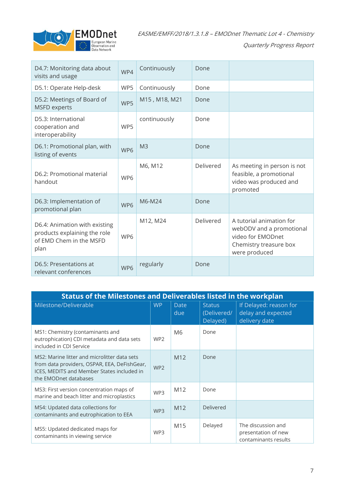

| D4.7: Monitoring data about<br>visits and usage                                                  | WP4             | Continuously   | Done      |                                                                                                                      |
|--------------------------------------------------------------------------------------------------|-----------------|----------------|-----------|----------------------------------------------------------------------------------------------------------------------|
| D5.1: Operate Help-desk                                                                          | WP5             | Continuously   | Done      |                                                                                                                      |
| D5.2: Meetings of Board of<br><b>MSFD</b> experts                                                | WP5             | M15, M18, M21  | Done      |                                                                                                                      |
| D5.3: International<br>cooperation and<br>interoperability                                       | WP5             | continuously   | Done      |                                                                                                                      |
| D6.1: Promotional plan, with<br>listing of events                                                | WP6             | M <sub>3</sub> | Done      |                                                                                                                      |
| D6.2: Promotional material<br>handout                                                            | WP <sub>6</sub> | M6, M12        | Delivered | As meeting in person is not<br>feasible, a promotional<br>video was produced and<br>promoted                         |
| D6.3: Implementation of<br>promotional plan                                                      | WP6             | M6-M24         | Done      |                                                                                                                      |
| D6.4: Animation with existing<br>products explaining the role<br>of EMD Chem in the MSFD<br>plan | WP6             | M12, M24       | Delivered | A tutorial animation for<br>webODV and a promotional<br>video for EMODnet<br>Chemistry treasure box<br>were produced |
| D6.5: Presentations at<br>relevant conferences                                                   | WP6             | regularly      | Done      |                                                                                                                      |

| <b>Status of the Milestones and Deliverables listed in the workplan</b>                                                                                             |                 |                    |                                          |                                                                   |  |  |  |
|---------------------------------------------------------------------------------------------------------------------------------------------------------------------|-----------------|--------------------|------------------------------------------|-------------------------------------------------------------------|--|--|--|
| Milestone/Deliverable                                                                                                                                               | <b>WP</b>       | <b>Date</b><br>due | <b>Status</b><br>(Delivered/<br>Delayed) | If Delayed: reason for<br>delay and expected<br>delivery date     |  |  |  |
| MS1: Chemistry (contaminants and<br>eutrophication) CDI metadata and data sets<br>included in CDI Service                                                           | WP <sub>2</sub> | M <sub>6</sub>     | Done                                     |                                                                   |  |  |  |
| MS2: Marine litter and microlitter data sets<br>from data providers, OSPAR, EEA, DeFishGear,<br>ICES, MEDITS and Member States included in<br>the EMODnet databases | WP <sub>2</sub> | M <sub>12</sub>    | Done                                     |                                                                   |  |  |  |
| MS3: First version concentration maps of<br>marine and beach litter and microplastics                                                                               | WP3             | M <sub>12</sub>    | Done                                     |                                                                   |  |  |  |
| MS4: Updated data collections for<br>contaminants and eutrophication to EEA                                                                                         | WP3             | M <sub>12</sub>    | Delivered                                |                                                                   |  |  |  |
| MS5: Updated dedicated maps for<br>contaminants in viewing service                                                                                                  | WP3             | M15                | Delayed                                  | The discussion and<br>presentation of new<br>contaminants results |  |  |  |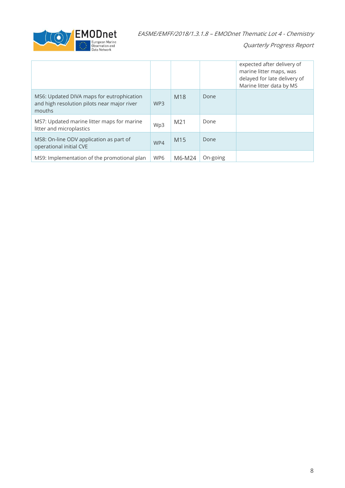

|                                                                                                    |                 |                 |          | expected after delivery of<br>marine litter maps, was<br>delayed for late delivery of<br>Marine litter data by MS |
|----------------------------------------------------------------------------------------------------|-----------------|-----------------|----------|-------------------------------------------------------------------------------------------------------------------|
| MS6: Updated DIVA maps for eutrophication<br>and high resolution pilots near major river<br>mouths | WP <sub>3</sub> | M <sub>18</sub> | Done     |                                                                                                                   |
| MS7: Updated marine litter maps for marine<br>litter and microplastics                             | Wp3             | M21             | Done     |                                                                                                                   |
| MS8: On-line ODV application as part of<br>operational initial CVE                                 | WP4             | M <sub>15</sub> | Done     |                                                                                                                   |
| MS9: Implementation of the promotional plan                                                        | WP6             | M6-M24          | On-going |                                                                                                                   |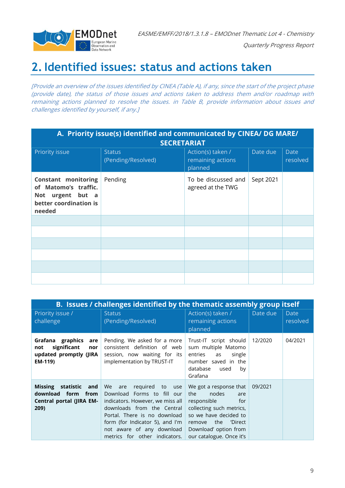

Quarterly Progress Report

### <span id="page-8-0"></span>**2.Identified issues: status and actions taken**

[Provide an overview of the issues identified by CINEA (Table A), if any, since the start of the project phase (provide date), the status of those issues and actions taken to address them and/or roadmap with remaining actions planned to resolve the issues. in Table B, provide information about issues and challenges identified by yourself, if any.]

| A. Priority issue(s) identified and communicated by CINEA/ DG MARE/<br><b>SECRETARIAT</b>                     |                                     |                                                   |           |                         |  |  |  |
|---------------------------------------------------------------------------------------------------------------|-------------------------------------|---------------------------------------------------|-----------|-------------------------|--|--|--|
| Priority issue                                                                                                | <b>Status</b><br>(Pending/Resolved) | Action(s) taken /<br>remaining actions<br>planned | Date due  | <b>Date</b><br>resolved |  |  |  |
| <b>Constant monitoring</b><br>of Matomo's traffic.<br>urgent but a<br>Not<br>better coordination is<br>needed | Pending                             | To be discussed and<br>agreed at the TWG          | Sept 2021 |                         |  |  |  |
|                                                                                                               |                                     |                                                   |           |                         |  |  |  |
|                                                                                                               |                                     |                                                   |           |                         |  |  |  |
|                                                                                                               |                                     |                                                   |           |                         |  |  |  |
|                                                                                                               |                                     |                                                   |           |                         |  |  |  |
|                                                                                                               |                                     |                                                   |           |                         |  |  |  |
|                                                                                                               |                                     |                                                   |           |                         |  |  |  |

| B. Issues / challenges identified by the thematic assembly group itself                      |                                                                                                                                                                                                                                                            |                                                                                                                                                                                                        |          |                         |  |  |  |
|----------------------------------------------------------------------------------------------|------------------------------------------------------------------------------------------------------------------------------------------------------------------------------------------------------------------------------------------------------------|--------------------------------------------------------------------------------------------------------------------------------------------------------------------------------------------------------|----------|-------------------------|--|--|--|
| Priority issue /<br>challenge                                                                | <b>Status</b><br>(Pending/Resolved)                                                                                                                                                                                                                        | Action(s) taken /<br>remaining actions<br>planned                                                                                                                                                      | Date due | <b>Date</b><br>resolved |  |  |  |
| Grafana graphics<br>are<br>significant<br>nor<br>not<br>updated promptly (JIRA<br>EM-119)    | Pending. We asked for a more<br>consistent definition of web<br>session, now waiting for its<br>implementation by TRUST-IT                                                                                                                                 | Trust-IT script should<br>sum multiple Matomo<br>single<br>entries<br>as<br>number saved in the<br>database<br>by<br>used<br>Grafana                                                                   | 12/2020  | 04/2021                 |  |  |  |
| <b>Missing</b><br>statistic<br>and<br>download form from<br>Central portal (JIRA EM-<br>209) | We are<br>required to use<br>Download Forms to fill our<br>indicators. However, we miss all<br>downloads from the Central<br>Portal. There is no download<br>form (for Indicator 5), and I'm<br>not aware of any download<br>metrics for other indicators. | We got a response that<br>nodes<br>the<br>are<br>responsible<br>for<br>collecting such metrics,<br>so we have decided to<br>the 'Direct<br>remove<br>Download' option from<br>our catalogue. Once it's | 09/2021  |                         |  |  |  |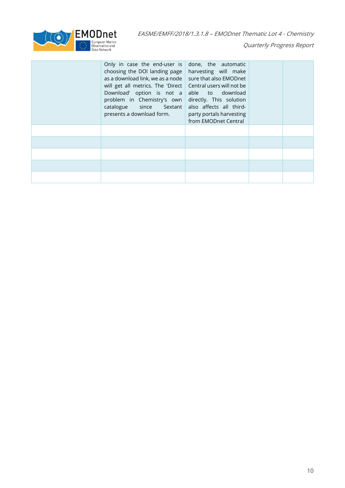

| Only in case the end-user is $ $ done, the automatic<br>choosing the DOI landing page $ $<br>as a download link, we as a node<br>will get all metrics. The 'Direct   Central users will not be<br>Download' option is not a able to download<br>problem in Chemistry's own directly. This solution<br>catalogue since Sextant<br>presents a download form. | harvesting will make<br>sure that also EMODnet<br>also affects all third-<br>party portals harvesting<br>from EMODnet Central |  |
|------------------------------------------------------------------------------------------------------------------------------------------------------------------------------------------------------------------------------------------------------------------------------------------------------------------------------------------------------------|-------------------------------------------------------------------------------------------------------------------------------|--|
|                                                                                                                                                                                                                                                                                                                                                            |                                                                                                                               |  |
|                                                                                                                                                                                                                                                                                                                                                            |                                                                                                                               |  |
|                                                                                                                                                                                                                                                                                                                                                            |                                                                                                                               |  |
|                                                                                                                                                                                                                                                                                                                                                            |                                                                                                                               |  |
|                                                                                                                                                                                                                                                                                                                                                            |                                                                                                                               |  |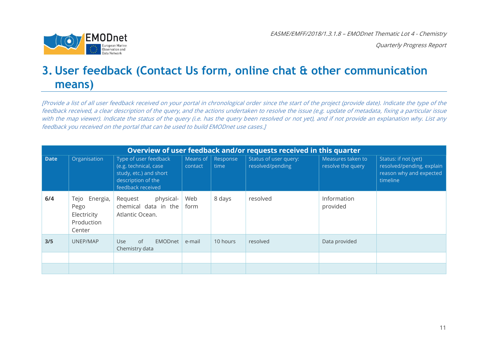

### **3. User feedback (Contact Us form, online chat & other communication means)**

[Provide a list of all user feedback received on your portal in chronological order since the start of the project (provide date). Indicate the type of the feedback received, a clear description of the query, and the actions undertaken to resolve the issue (e.g. update of metadata, fixing a particular issue with the map viewer). Indicate the status of the query (i.e. has the query been resolved or not yet), and if not provide an explanation why. List any feedback you received on the portal that can be used to build EMODnet use cases.]

<span id="page-10-0"></span>

|             | Overview of user feedback and/or requests received in this quarter |                                                                                                                     |                     |                  |                                           |                                        |                                                                                          |  |
|-------------|--------------------------------------------------------------------|---------------------------------------------------------------------------------------------------------------------|---------------------|------------------|-------------------------------------------|----------------------------------------|------------------------------------------------------------------------------------------|--|
| <b>Date</b> | Organisation                                                       | Type of user feedback<br>(e.g. technical, case<br>study, etc.) and short<br>description of the<br>feedback received | Means of<br>contact | Response<br>time | Status of user query:<br>resolved/pending | Measures taken to<br>resolve the query | Status: if not (yet)<br>resolved/pending, explain<br>reason why and expected<br>timeline |  |
| 6/4         | Energia,<br>Tejo<br>Pego<br>Electricity<br>Production<br>Center    | physical-<br>Request<br>chemical data in the<br>Atlantic Ocean.                                                     | Web<br>form         | 8 days           | resolved                                  | Information<br>provided                |                                                                                          |  |
| 3/5         | UNEP/MAP                                                           | of<br>EMODnet<br><b>Use</b><br>Chemistry data                                                                       | e-mail              | 10 hours         | resolved                                  | Data provided                          |                                                                                          |  |
|             |                                                                    |                                                                                                                     |                     |                  |                                           |                                        |                                                                                          |  |
|             |                                                                    |                                                                                                                     |                     |                  |                                           |                                        |                                                                                          |  |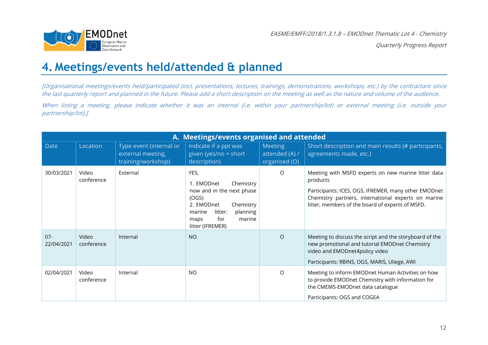

### **4. Meetings/events held/attended & planned**

[Organisational meetings/events held/participated (incl. presentations, lectures, trainings, demonstrations, workshops, etc.) by the contractant since the last quarterly report and planned in the future. Please add <sup>a</sup> short description on the meeting as well as the nature and volume of the audience.

When listing a meeting, please indicate whether it was an internal (i.e. within your partnership/lot) or external meeting (i.e. outside your partnership/lot).]

<span id="page-11-0"></span>

|                      | A. Meetings/events organised and attended |                                                                    |                                                                                                                                                                                |                                                   |                                                                                                                                                                                                                                    |  |  |  |  |  |
|----------------------|-------------------------------------------|--------------------------------------------------------------------|--------------------------------------------------------------------------------------------------------------------------------------------------------------------------------|---------------------------------------------------|------------------------------------------------------------------------------------------------------------------------------------------------------------------------------------------------------------------------------------|--|--|--|--|--|
| <b>Date</b>          | Location                                  | Type event (internal or<br>external meeting,<br>training/workshop) | Indicate if a ppt was<br>given (yes/no + short<br>description)                                                                                                                 | <b>Meeting</b><br>attended (A) /<br>organised (O) | Short description and main results (# participants,<br>agreements made, etc.)                                                                                                                                                      |  |  |  |  |  |
| 30/03/2021           | Video<br>conference                       | External                                                           | YES,<br>Chemistry<br>1. EMODnet<br>now and in the next phase<br>(OGS)<br>2. EMODnet<br>Chemistry<br>litter:<br>planning<br>marine<br>for<br>marine<br>maps<br>litter (IFREMER) | $\Omega$                                          | Meeting with MSFD experts on new marine litter data<br>products<br>Participants: ICES, OGS, IFREMER, many other EMODnet<br>Chemistry partners, international experts on marine<br>litter, members of the board of experts of MSFD. |  |  |  |  |  |
| $07 -$<br>22/04/2021 | Video<br>conference                       | Internal                                                           | <b>NO</b>                                                                                                                                                                      | $\circ$                                           | Meeting to discuss the script and the storyboard of the<br>new promotional and tutorial EMODnet Chemistry<br>video and EMODnet4policy video<br>Participants: RBINS, OGS, MARIS, Uliege, AWI                                        |  |  |  |  |  |
| 02/04/2021           | Video<br>conference                       | Internal                                                           | <b>NO</b>                                                                                                                                                                      | $\circ$                                           | Meeting to inform EMODnet Human Activities on how<br>to provide EMODnet Chemistry with information for<br>the CMEMS-EMODnet data catalogue<br>Participants: OGS and COGEA                                                          |  |  |  |  |  |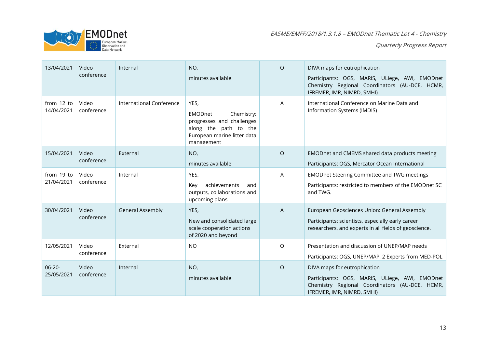

| 13/04/2021                | Video<br>conference | Internal                 | NO,<br>minutes available                                                                                                         | $\circ$ | DIVA maps for eutrophication<br>Participants: OGS, MARIS, ULiege, AWI, EMODnet<br>Chemistry Regional Coordinators (AU-DCE, HCMR,<br>IFREMER, IMR, NIMRD, SMHI) |
|---------------------------|---------------------|--------------------------|----------------------------------------------------------------------------------------------------------------------------------|---------|----------------------------------------------------------------------------------------------------------------------------------------------------------------|
| from 12 to<br>14/04/2021  | Video<br>conference | International Conference | YES,<br>EMODnet<br>Chemistry:<br>progresses and challenges<br>along the path to the<br>European marine litter data<br>management | A       | International Conference on Marine Data and<br>Information Systems (IMDIS)                                                                                     |
| 15/04/2021                | Video<br>conference | External                 | NO,<br>minutes available                                                                                                         | $\circ$ | EMODnet and CMEMS shared data products meeting<br>Participants: OGS, Mercator Ocean International                                                              |
| from 19 to<br>21/04/2021  | Video<br>conference | Internal                 | YES,<br>achievements<br>Key<br>and<br>outputs, collaborations and<br>upcoming plans                                              | A       | <b>EMODnet Steering Committee and TWG meetings</b><br>Participants: restricted to members of the EMODnet SC<br>and TWG.                                        |
| 30/04/2021                | Video<br>conference | <b>General Assembly</b>  | YES,<br>New and consolidated large<br>scale cooperation actions<br>of 2020 and beyond                                            | A       | European Geosciences Union: General Assembly<br>Participants: scientists, especially early career<br>researchers, and experts in all fields of geoscience.     |
| 12/05/2021                | Video<br>conference | External                 | <b>NO</b>                                                                                                                        | O       | Presentation and discussion of UNEP/MAP needs<br>Participants: OGS, UNEP/MAP, 2 Experts from MED-POL                                                           |
| $06 - 20 -$<br>25/05/2021 | Video<br>conference | Internal                 | NO,<br>minutes available                                                                                                         | $\circ$ | DIVA maps for eutrophication<br>Participants: OGS, MARIS, ULiege, AWI, EMODnet<br>Chemistry Regional Coordinators (AU-DCE, HCMR,<br>IFREMER, IMR, NIMRD, SMHI) |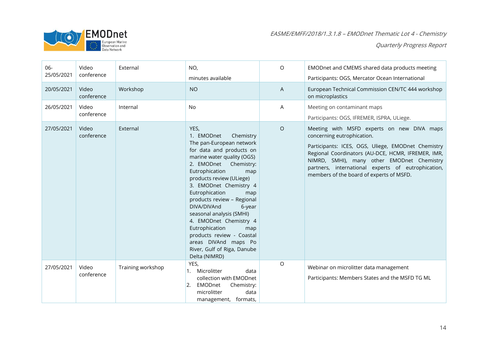

| 06-<br>25/05/2021 | Video<br>conference | External          | NO,<br>minutes available                                                                                                                                                                                                                                                                                                                                                                                                                                                                          | $\circ$ | EMODnet and CMEMS shared data products meeting<br>Participants: OGS, Mercator Ocean International                                                                                                                                                                                                                                    |
|-------------------|---------------------|-------------------|---------------------------------------------------------------------------------------------------------------------------------------------------------------------------------------------------------------------------------------------------------------------------------------------------------------------------------------------------------------------------------------------------------------------------------------------------------------------------------------------------|---------|--------------------------------------------------------------------------------------------------------------------------------------------------------------------------------------------------------------------------------------------------------------------------------------------------------------------------------------|
| 20/05/2021        | Video<br>conference | Workshop          | <b>NO</b>                                                                                                                                                                                                                                                                                                                                                                                                                                                                                         | A       | European Technical Commission CEN/TC 444 workshop<br>on microplastics                                                                                                                                                                                                                                                                |
| 26/05/2021        | Video<br>conference | Internal          | No                                                                                                                                                                                                                                                                                                                                                                                                                                                                                                | A       | Meeting on contaminant maps<br>Participants: OGS, IFREMER, ISPRA, ULiege.                                                                                                                                                                                                                                                            |
| 27/05/2021        | Video<br>conference | External          | YES,<br>1. EMODnet<br>Chemistry<br>The pan-European network<br>for data and products on<br>marine water quality (OGS)<br>2. EMODnet Chemistry:<br>Eutrophication<br>map<br>products review (ULiege)<br>3. EMODnet Chemistry 4<br>Eutrophication<br>map<br>products review - Regional<br>DIVA/DIVAnd<br>6-year<br>seasonal analysis (SMHI)<br>4. EMODnet Chemistry 4<br>Eutrophication<br>map<br>products review - Coastal<br>areas DIVAnd maps Po<br>River, Gulf of Riga, Danube<br>Delta (NIMRD) | $\circ$ | Meeting with MSFD experts on new DIVA maps<br>concerning eutrophication.<br>Participants: ICES, OGS, Uliege, EMODnet Chemistry<br>Regional Coordinators (AU-DCE, HCMR, IFREMER, IMR,<br>NIMRD, SMHI), many other EMODnet Chemistry<br>partners, international experts of eutrophication,<br>members of the board of experts of MSFD. |
| 27/05/2021        | Video<br>conference | Training workshop | YES,<br>1. Microlitter<br>data<br>collection with EMODnet<br>EMODnet<br>2.<br>Chemistry:<br>microlitter<br>data<br>management, formats,                                                                                                                                                                                                                                                                                                                                                           | $\circ$ | Webinar on microlitter data management<br>Participants: Members States and the MSFD TG ML                                                                                                                                                                                                                                            |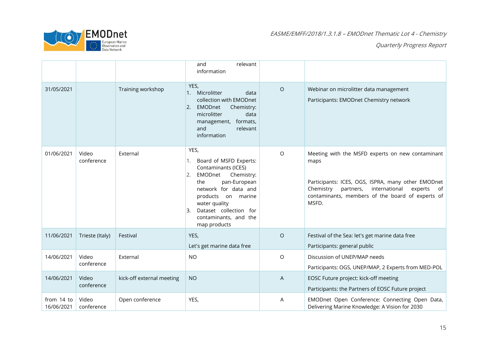

|                          |                     |                           | relevant<br>and<br>information                                                                                                                                                                                                                            |         |                                                                                                                                                                                                                                      |
|--------------------------|---------------------|---------------------------|-----------------------------------------------------------------------------------------------------------------------------------------------------------------------------------------------------------------------------------------------------------|---------|--------------------------------------------------------------------------------------------------------------------------------------------------------------------------------------------------------------------------------------|
| 31/05/2021               |                     | Training workshop         | YES,<br>Microlitter<br>data<br>1.<br>collection with EMODnet<br><b>EMODnet</b><br>Chemistry:<br>$\overline{2}$ .<br>microlitter<br>data<br>formats,<br>management,<br>and<br>relevant<br>information                                                      | $\circ$ | Webinar on microlitter data management<br>Participants: EMODnet Chemistry network                                                                                                                                                    |
| 01/06/2021               | Video<br>conference | External                  | YES,<br>Board of MSFD Experts:<br>1.<br>Contaminants (ICES)<br>EMODnet<br>Chemistry:<br>2.<br>pan-European<br>the<br>network for data and<br>products on marine<br>water quality<br>Dataset collection for<br>Β.<br>contaminants, and the<br>map products | $\circ$ | Meeting with the MSFD experts on new contaminant<br>maps<br>Participants: ICES, OGS, ISPRA, many other EMODnet<br>Chemistry partners,<br>international<br>experts<br>of<br>contaminants, members of the board of experts of<br>MSFD. |
| 11/06/2021               | Trieste (Italy)     | Festival                  | YES,                                                                                                                                                                                                                                                      | $\circ$ | Festival of the Sea: let's get marine data free                                                                                                                                                                                      |
| 14/06/2021               | Video<br>conference | External                  | Let's get marine data free<br><b>NO</b>                                                                                                                                                                                                                   | $\circ$ | Participants: general public<br>Discussion of UNEP/MAP needs<br>Participants: OGS, UNEP/MAP, 2 Experts from MED-POL                                                                                                                  |
| 14/06/2021               | Video<br>conference | kick-off external meeting | <b>NO</b>                                                                                                                                                                                                                                                 | A       | EOSC Future project: kick-off meeting<br>Participants: the Partners of EOSC Future project                                                                                                                                           |
| from 14 to<br>16/06/2021 | Video<br>conference | Open conference           | YES,                                                                                                                                                                                                                                                      | Α       | EMODnet Open Conference: Connecting Open Data,<br>Delivering Marine Knowledge: A Vision for 2030                                                                                                                                     |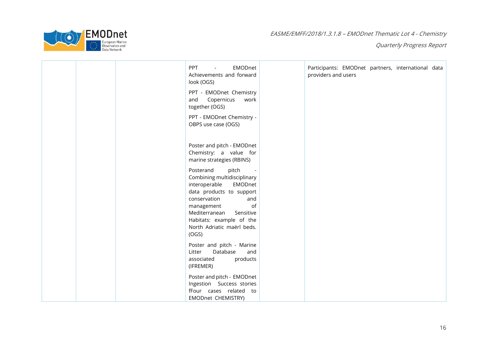

|  | <b>PPT</b><br>EMODnet<br>$\sim$<br>Achievements and forward<br>look (OGS)                                                                                                                                      | Participants: EMODnet partners, international data<br>providers and users |  |  |
|--|----------------------------------------------------------------------------------------------------------------------------------------------------------------------------------------------------------------|---------------------------------------------------------------------------|--|--|
|  | PPT - EMODnet Chemistry<br>Copernicus<br>and<br>work<br>together (OGS)                                                                                                                                         |                                                                           |  |  |
|  | PPT - EMODnet Chemistry -<br>OBPS use case (OGS)                                                                                                                                                               |                                                                           |  |  |
|  | Poster and pitch - EMODnet<br>Chemistry: a value for<br>marine strategies (RBINS)                                                                                                                              |                                                                           |  |  |
|  | Posterand<br>pitch<br>Combining multidisciplinary<br>interoperable<br>EMODnet<br>data products to support<br>conservation<br>and<br>of<br>management<br>Mediterranean<br>Sensitive<br>Habitats: example of the |                                                                           |  |  |
|  | North Adriatic maërl beds.<br>(OGS)                                                                                                                                                                            |                                                                           |  |  |
|  | Poster and pitch - Marine<br>Database<br>Litter<br>and<br>products<br>associated<br>(IFREMER)                                                                                                                  |                                                                           |  |  |
|  | Poster and pitch - EMODnet<br>Ingestion Success stories<br>fFour cases related to<br>EMODnet CHEMISTRY)                                                                                                        |                                                                           |  |  |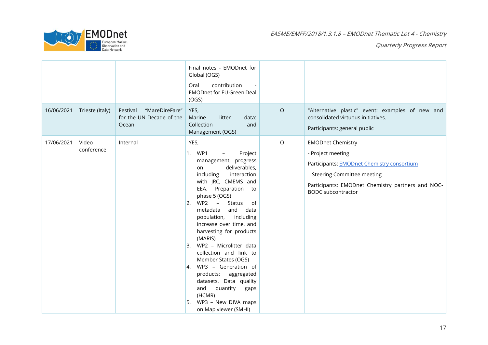

|            |                     |                                                                 | Final notes - EMODnet for<br>Global (OGS)<br>contribution<br>Oral<br><b>EMODnet for EU Green Deal</b><br>(OGS)                                                                                                                                                                                                                                                                                                                                                                                                                                                                                                          |         |                                                                                                                                                                                                                    |
|------------|---------------------|-----------------------------------------------------------------|-------------------------------------------------------------------------------------------------------------------------------------------------------------------------------------------------------------------------------------------------------------------------------------------------------------------------------------------------------------------------------------------------------------------------------------------------------------------------------------------------------------------------------------------------------------------------------------------------------------------------|---------|--------------------------------------------------------------------------------------------------------------------------------------------------------------------------------------------------------------------|
| 16/06/2021 | Trieste (Italy)     | Festival<br>"MareDireFare"<br>for the UN Decade of the<br>Ocean | YES,<br>Marine<br>litter<br>data:<br>Collection<br>and<br>Management (OGS)                                                                                                                                                                                                                                                                                                                                                                                                                                                                                                                                              | $\circ$ | "Alternative plastic" event: examples of new and<br>consolidated virtuous initiatives.<br>Participants: general public                                                                                             |
| 17/06/2021 | Video<br>conference | Internal                                                        | YES,<br>1. WP1<br>Project<br>$-$<br>management, progress<br>deliverables,<br>on<br>including<br>interaction<br>with JRC, CMEMS and<br>EEA. Preparation to<br>phase 5 (OGS)<br>WP2<br>$\sim$ $ \sim$<br>Status<br> 2.<br>of<br>metadata<br>and<br>data<br>population, including<br>increase over time, and<br>harvesting for products<br>(MARIS)<br>WP2 - Microlitter data<br>3.<br>collection and link to<br>Member States (OGS)<br>WP3 - Generation of<br><sup>1</sup> 4.<br>products: aggregated<br>datasets. Data quality<br>and<br>quantity<br>gaps<br>(HCMR)<br>WP3 - New DIVA maps<br>l5.<br>on Map viewer (SMHI) | $\circ$ | <b>EMODnet Chemistry</b><br>- Project meeting<br>Participants: EMODnet Chemistry consortium<br><b>Steering Committee meeting</b><br>Participants: EMODnet Chemistry partners and NOC-<br><b>BODC</b> subcontractor |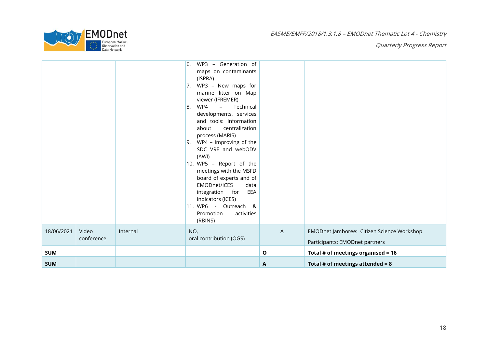

| <b>SUM</b> |                     |          |                                                                                                                                                                                                                                                                                                                                                                                                                                                                                                                                                                                | A | Total # of meetings attended = $8$                                           |
|------------|---------------------|----------|--------------------------------------------------------------------------------------------------------------------------------------------------------------------------------------------------------------------------------------------------------------------------------------------------------------------------------------------------------------------------------------------------------------------------------------------------------------------------------------------------------------------------------------------------------------------------------|---|------------------------------------------------------------------------------|
| <b>SUM</b> |                     |          |                                                                                                                                                                                                                                                                                                                                                                                                                                                                                                                                                                                | O | Total # of meetings organised = $16$                                         |
| 18/06/2021 | Video<br>conference | Internal | NO,<br>oral contribution (OGS)                                                                                                                                                                                                                                                                                                                                                                                                                                                                                                                                                 | A | EMODnet Jamboree: Citizen Science Workshop<br>Participants: EMODnet partners |
|            |                     |          | WP3 - Generation of<br><sup>6.</sup><br>maps on contaminants<br>(ISPRA)<br>WP3 - New maps for<br>7.<br>marine litter on Map<br>viewer (IFREMER)<br>WP4<br>$  \,$<br>Technical<br>8.<br>developments, services<br>and tools: information<br>centralization<br>about<br>process (MARIS)<br>WP4 - Improving of the<br> 9.<br>SDC VRE and webODV<br>(AWI)<br>10. WP5 - Report of the<br>meetings with the MSFD<br>board of experts and of<br><b>EMODnet/ICES</b><br>data<br>integration for EEA<br>indicators (ICES)<br>11. WP6 - Outreach &<br>Promotion<br>activities<br>(RBINS) |   |                                                                              |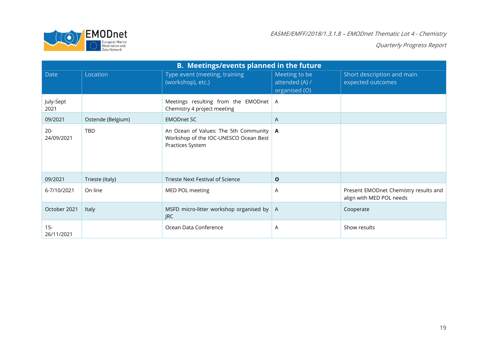

|                      | <b>B. Meetings/events planned in the future</b> |                                                                                                    |                                                  |                                                                   |  |  |  |
|----------------------|-------------------------------------------------|----------------------------------------------------------------------------------------------------|--------------------------------------------------|-------------------------------------------------------------------|--|--|--|
| <b>Date</b>          | Location                                        | Type event (meeting, training<br>(workshop), etc.)                                                 | Meeting to be<br>attended (A) /<br>organised (O) | Short description and main<br>expected outcomes                   |  |  |  |
| July-Sept<br>2021    |                                                 | Meetings resulting from the EMODnet<br>Chemistry 4 project meeting                                 | $\overline{A}$                                   |                                                                   |  |  |  |
| 09/2021              | Ostende (Belgium)                               | <b>EMODnet SC</b>                                                                                  | A                                                |                                                                   |  |  |  |
| $20 -$<br>24/09/2021 | <b>TBD</b>                                      | An Ocean of Values: The 5th Community<br>Workshop of the IOC-UNESCO Ocean Best<br>Practices System | $\mathbf{A}$                                     |                                                                   |  |  |  |
| 09/2021              | Trieste (Italy)                                 | <b>Trieste Next Festival of Science</b>                                                            | $\mathbf 0$                                      |                                                                   |  |  |  |
| 6-7/10/2021          | On line                                         | MED POL meeting                                                                                    | A                                                | Present EMODnet Chemistry results and<br>align with MED POL needs |  |  |  |
| October 2021         | Italy                                           | MSFD micro-litter workshop organised by<br><b>JRC</b>                                              | $\overline{A}$                                   | Cooperate                                                         |  |  |  |
| $15 -$<br>26/11/2021 |                                                 | Ocean Data Conference                                                                              | A                                                | Show results                                                      |  |  |  |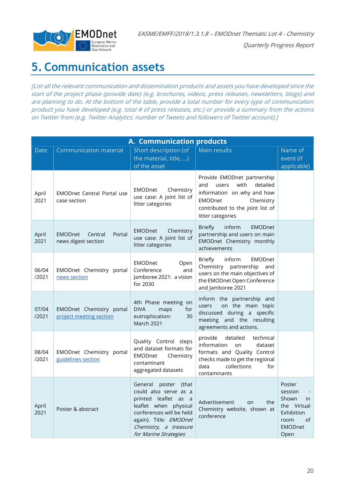

Quarterly Progress Report

### <span id="page-19-0"></span>**5. Communication assets**

[List all the relevant communication and dissemination products and assets you have developed since the start of the project phase (provide date) (e.g. brochures, videos, press releases, newsletters, blogs) and are planning to do. At the bottom of the table, provide a total number for every type of communication product you have developed (e.g. total # of press releases, etc.) or provide a summary from the actions on Twitter from (e.g. Twitter Analytics: number of Tweets and followers of Twitter account).]

|                | A. Communication products                                  |                                                                                                                                                                                                              |                                                                                                                                                                                       |                                                                                                       |  |  |
|----------------|------------------------------------------------------------|--------------------------------------------------------------------------------------------------------------------------------------------------------------------------------------------------------------|---------------------------------------------------------------------------------------------------------------------------------------------------------------------------------------|-------------------------------------------------------------------------------------------------------|--|--|
| <b>Date</b>    | <b>Communication material</b>                              | Short description (of<br>the material, title, )<br>of the asset                                                                                                                                              | Main results                                                                                                                                                                          | Name of<br>event (if<br>applicable)                                                                   |  |  |
| April<br>2021  | <b>EMODnet Central Portal use</b><br>case section          | <b>EMODnet</b><br>Chemistry<br>use case: A joint list of<br>litter categories                                                                                                                                | Provide EMODnet partnership<br>with<br>detailed<br>and<br>users<br>information on why and how<br><b>EMODnet</b><br>Chemistry<br>contributed to the joint list of<br>litter categories |                                                                                                       |  |  |
| April<br>2021  | <b>EMODnet</b><br>Portal<br>Central<br>news digest section | <b>EMODnet</b><br>Chemistry<br>use case: A joint list of<br>litter categories                                                                                                                                | <b>Briefly</b><br>inform<br><b>EMODnet</b><br>partnership and users on main<br>EMODnet Chemistry monthly<br>achievements                                                              |                                                                                                       |  |  |
| 06/04<br>/2021 | EMODnet Chemistry portal<br>news section                   | <b>EMODnet</b><br>Open<br>Conference<br>and<br>Jamboree 2021: a vision<br>for 2030                                                                                                                           | <b>Briefly</b><br>inform<br><b>EMODnet</b><br>Chemistry partnership<br>and<br>users on the main objectives of<br>the EMODnet Open Conference<br>and Jamboree 2021                     |                                                                                                       |  |  |
| 07/04<br>/2021 | EMODnet Chemistry portal<br>project meeting section        | 4th Phase meeting on<br><b>DIVA</b><br>for<br>maps<br>eutrophication:<br>30<br>March 2021                                                                                                                    | inform the partnership and<br>on the main topic<br>users<br>discussed during a specific<br>meeting and the resulting<br>agreements and actions.                                       |                                                                                                       |  |  |
| 08/04<br>/2021 | EMODnet Chemistry portal<br>guidelines section             | Quality Control steps<br>and dataset formats for<br><b>EMODnet</b><br>Chemistry<br>contaminant<br>aggregated datasets                                                                                        | provide<br>detailed<br>technical<br>information<br>dataset<br>on<br>formats and Quality Control<br>checks made to get the regional<br>collections<br>data<br>for<br>contaminants      |                                                                                                       |  |  |
| April<br>2021  | Poster & abstract                                          | poster<br>General<br>(that<br>could also serve as a<br>printed leaflet as a<br>leaflet when physical<br>conferences will be held<br>again). Title: EMODnet<br>Chemistry, a treasure<br>for Marine Strategies | Advertisement<br>the<br>on<br>Chemistry website, shown at<br>conference                                                                                                               | Poster<br>session<br>Shown<br>in<br>the Virtual<br>Exhibition<br>of<br>room<br><b>EMODnet</b><br>Open |  |  |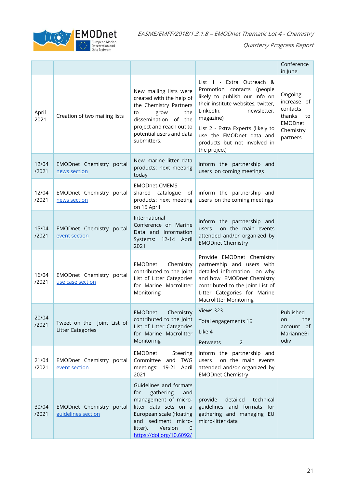EMODnet  $\Box$   $\odot$ 

EASME/EMFF/2018/1.3.1.8 – EMODnet Thematic Lot 4 - Chemistry

|                |                                                        |                                                                                                                                                                                                               |                                                                                                                                                                                                                                                                                             | Conference<br>in June                                                                         |
|----------------|--------------------------------------------------------|---------------------------------------------------------------------------------------------------------------------------------------------------------------------------------------------------------------|---------------------------------------------------------------------------------------------------------------------------------------------------------------------------------------------------------------------------------------------------------------------------------------------|-----------------------------------------------------------------------------------------------|
| April<br>2021  | Creation of two mailing lists                          | New mailing lists were<br>created with the help of<br>the Chemistry Partners<br>grow<br>the<br>to<br>dissemination of the<br>project and reach out to<br>potential users and data<br>submitters.              | List 1 - Extra Outreach &<br>Promotion contacts<br>(people<br>likely to publish our info on<br>their institute websites, twitter,<br>LinkedIn,<br>newsletter,<br>magazine)<br>List 2 - Extra Experts (likely to<br>use the EMODnet data and<br>products but not involved in<br>the project) | Ongoing<br>increase of<br>contacts<br>thanks<br>to<br><b>EMODnet</b><br>Chemistry<br>partners |
| 12/04<br>/2021 | EMODnet Chemistry portal<br>news section               | New marine litter data<br>products: next meeting<br>today                                                                                                                                                     | inform the partnership and<br>users on coming meetings                                                                                                                                                                                                                                      |                                                                                               |
| 12/04<br>/2021 | EMODnet Chemistry portal<br>news section               | <b>EMODnet-CMEMS</b><br>shared catalogue<br>of<br>products: next meeting<br>on 15 April                                                                                                                       | inform the partnership and<br>users on the coming meetings                                                                                                                                                                                                                                  |                                                                                               |
| 15/04<br>/2021 | EMODnet Chemistry portal<br>event section              | International<br>Conference on Marine<br>Data and Information<br>Systems: 12-14 April<br>2021                                                                                                                 | inform the partnership and<br>on the main events<br>users<br>attended and/or organized by<br><b>EMODnet Chemistry</b>                                                                                                                                                                       |                                                                                               |
| 16/04<br>/2021 | EMODnet Chemistry portal<br>use case section           | EMODnet<br>Chemistry<br>contributed to the Joint<br>List of Litter Categories<br>for Marine Macrolitter<br>Monitoring                                                                                         | Provide EMODnet Chemistry<br>partnership and users with<br>detailed information on why<br>and how EMODnet Chemistry<br>contributed to the Joint List of<br>Litter Categories for Marine<br><b>Macrolitter Monitoring</b>                                                                    |                                                                                               |
| 20/04<br>/2021 | Tweet on the Joint List of<br><b>Litter Categories</b> | Chemistry<br><b>EMODnet</b><br>contributed to the Joint   Total engagements 16<br>List of Litter Categories<br>for Marine Macrolitter<br>Monitoring                                                           | Views 323<br>Like 4<br><b>Retweets</b><br>2                                                                                                                                                                                                                                                 | Published<br>the<br>on<br>account of<br>MarianneBi<br>odiv                                    |
| 21/04<br>/2021 | EMODnet Chemistry portal<br>event section              | EMODnet<br>Steering<br>Committee and TWG<br>meetings: 19-21 April<br>2021                                                                                                                                     | inform the partnership and<br>on the main events<br>users<br>attended and/or organized by<br><b>EMODnet Chemistry</b>                                                                                                                                                                       |                                                                                               |
| 30/04<br>/2021 | EMODnet Chemistry portal<br>guidelines section         | Guidelines and formats<br>for<br>gathering<br>and<br>management of micro-<br>litter data sets on a<br>European scale (floating<br>and sediment micro-<br>Version<br>litter).<br>0<br>https://doi.org/10.6092/ | detailed<br>technical<br>provide<br>guidelines and formats for<br>gathering and managing EU<br>micro-litter data                                                                                                                                                                            |                                                                                               |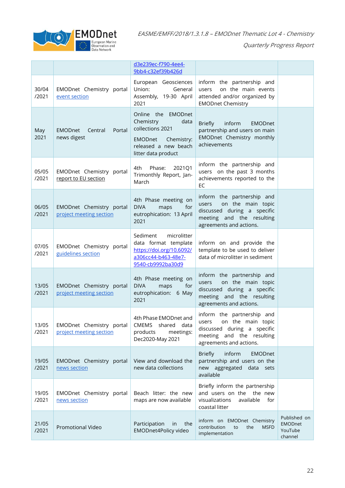

|                |                                                     | d3e239ec-f790-4ee4-<br>9bb4-c32ef39b426d                                                                                                   |                                                                                                                                                 |                                                      |
|----------------|-----------------------------------------------------|--------------------------------------------------------------------------------------------------------------------------------------------|-------------------------------------------------------------------------------------------------------------------------------------------------|------------------------------------------------------|
| 30/04<br>/2021 | EMODnet Chemistry portal<br>event section           | European Geosciences<br>Union:<br>General<br>Assembly, 19-30 April<br>2021                                                                 | inform the partnership and<br>on the main events<br>users<br>attended and/or organized by<br><b>EMODnet Chemistry</b>                           |                                                      |
| May<br>2021    | <b>EMODnet</b><br>Central<br>Portal<br>news digest  | Online the EMODnet<br>Chemistry<br>data<br>collections 2021<br>Chemistry:<br><b>EMODnet</b><br>released a new beach<br>litter data product | inform<br><b>Briefly</b><br><b>EMODnet</b><br>partnership and users on main<br>EMODnet Chemistry monthly<br>achievements                        |                                                      |
| 05/05<br>/2021 | EMODnet Chemistry portal<br>report to EU section    | Phase:<br>4th<br>2021Q1<br>Trimonthly Report, Jan-<br>March                                                                                | inform the partnership and<br>users on the past 3 months<br>achievements reported to the<br><b>EC</b>                                           |                                                      |
| 06/05<br>/2021 | EMODnet Chemistry portal<br>project meeting section | 4th Phase meeting on<br><b>DIVA</b><br>maps<br>for<br>eutrophication: 13 April<br>2021                                                     | inform the partnership and<br>on the main topic<br>users<br>discussed during a specific<br>meeting and the resulting<br>agreements and actions. |                                                      |
| 07/05<br>/2021 | EMODnet Chemistry portal<br>guidelines section      | Sediment<br>microlitter<br>data format template<br>https://doi.org/10.6092/<br>a306cc44-b463-48e7-<br>9540-cb9992ba30d9                    | inform on and provide the<br>template to be used to deliver<br>data of microlitter in sediment                                                  |                                                      |
| 13/05<br>/2021 | EMODnet Chemistry portal<br>project meeting section | 4th Phase meeting on<br><b>DIVA</b><br>maps<br>for<br>eutrophication: 6 May<br>2021                                                        | inform the partnership and<br>on the main topic<br>users<br>discussed during a specific<br>meeting and the resulting<br>agreements and actions. |                                                      |
| 13/05<br>/2021 | EMODnet Chemistry portal<br>project meeting section | 4th Phase EMODnet and<br>CMEMS shared data<br>products<br>meetings:<br>Dec2020-May 2021                                                    | inform the partnership and<br>on the main topic<br>users<br>discussed during a specific<br>meeting and the resulting<br>agreements and actions. |                                                      |
| 19/05<br>/2021 | EMODnet Chemistry portal<br>news section            | View and download the<br>new data collections                                                                                              | <b>Briefly</b><br>inform<br><b>EMODnet</b><br>partnership and users on the<br>new aggregated<br>data sets<br>available                          |                                                      |
| 19/05<br>/2021 | EMODnet Chemistry portal<br>news section            | Beach litter: the new<br>maps are now available                                                                                            | Briefly inform the partnership<br>and users on the the new<br>visualizations<br>available<br>for<br>coastal litter                              |                                                      |
| 21/05<br>/2021 | Promotional Video                                   | Participation<br>the<br>in.<br>EMODnet4Policy video                                                                                        | inform on EMODnet Chemistry<br>contribution<br>the<br>to<br><b>MSFD</b><br>implementation                                                       | Published on<br><b>EMODnet</b><br>YouTube<br>channel |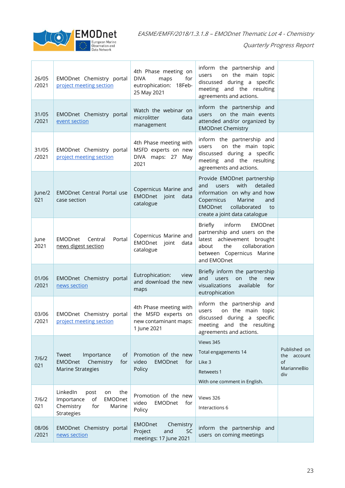

| 26/05<br>/2021 | EMODnet Chemistry portal<br>project meeting section                                                      | 4th Phase meeting on<br><b>DIVA</b><br>for<br>maps<br>eutrophication: 18Feb-<br>25 May 2021 | inform the partnership and<br>on the main topic<br>users<br>discussed during a specific<br>meeting and the resulting<br>agreements and actions.                                                       |                                                         |
|----------------|----------------------------------------------------------------------------------------------------------|---------------------------------------------------------------------------------------------|-------------------------------------------------------------------------------------------------------------------------------------------------------------------------------------------------------|---------------------------------------------------------|
| 31/05<br>/2021 | EMODnet Chemistry portal<br>event section                                                                | Watch the webinar on<br>microlitter<br>data<br>management                                   | inform the partnership and<br>on the main events<br>users<br>attended and/or organized by<br><b>EMODnet Chemistry</b>                                                                                 |                                                         |
| 31/05<br>/2021 | EMODnet Chemistry portal<br>project meeting section                                                      | 4th Phase meeting with<br>MSFD experts on new<br>DIVA maps: 27 May<br>2021                  | inform the partnership and<br>on the main topic<br>users<br>discussed during a specific<br>meeting and the resulting<br>agreements and actions.                                                       |                                                         |
| June/2<br>021  | <b>EMODnet Central Portal use</b><br>case section                                                        | Copernicus Marine and<br>EMODnet joint<br>data<br>catalogue                                 | Provide EMODnet partnership<br>with<br>detailed<br>and<br>users<br>information on why and how<br>Copernicus<br>Marine<br>and<br><b>EMODnet</b><br>collaborated<br>to<br>create a joint data catalogue |                                                         |
| June<br>2021   | EMODnet<br>Central<br>Portal<br>news digest section                                                      | Copernicus Marine and<br>EMODnet<br>joint<br>data<br>catalogue                              | <b>Briefly</b><br>inform<br><b>EMODnet</b><br>partnership and users on the<br>latest achievement brought<br>collaboration<br>the<br>about<br>between Copernicus Marine<br>and EMODnet                 |                                                         |
| 01/06<br>/2021 | EMODnet Chemistry portal<br>news section                                                                 | Eutrophication:<br>view<br>and download the new<br>maps                                     | Briefly inform the partnership<br>the<br>and<br>on<br>new<br>users<br>visualizations<br>available<br>for<br>eutrophication                                                                            |                                                         |
| 03/06<br>/2021 | EMODnet Chemistry portal<br>project meeting section                                                      | 4th Phase meeting with<br>the MSFD experts on<br>new contaminant maps:<br>1 June 2021       | inform the partnership and<br>on the main topic<br>users<br>discussed during a specific<br>meeting and the resulting<br>agreements and actions.                                                       |                                                         |
| 7/6/2<br>021   | Tweet<br>Importance<br>οf<br><b>EMODnet</b><br>Chemistry<br>for<br>Marine Strategies                     | Promotion of the new<br>video<br><b>EMODnet</b><br>for<br>Policy                            | Views 345<br>Total engagements 14<br>Like 3<br>Retweets 1<br>With one comment in English.                                                                                                             | Published on<br>the account<br>of<br>MarianneBio<br>div |
| 7/6/2<br>021   | LinkedIn<br>the<br>post<br>on<br>EMODnet<br>Importance<br>of<br>Chemistry<br>for<br>Marine<br>Strategies | Promotion of the new<br>video<br>EMODnet<br>for<br>Policy                                   | Views 326<br>Interactions 6                                                                                                                                                                           |                                                         |
| 08/06<br>/2021 | EMODnet Chemistry portal<br>news section                                                                 | <b>EMODnet</b><br>Chemistry<br>Project<br>and<br><b>SC</b><br>meetings: 17 June 2021        | inform the partnership and<br>users on coming meetings                                                                                                                                                |                                                         |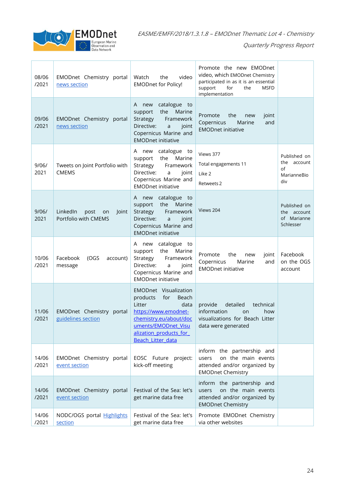

| 08/06<br>/2021 | EMODnet Chemistry portal<br>news section                | video<br>Watch<br>the<br><b>EMODnet for Policy!</b>                                                                                                                                                | Promote the new EMODnet<br>video, which EMODnet Chemistry<br>participated in as it is an essential<br>support<br>for<br>the<br><b>MSFD</b><br>implementation |                                                         |
|----------------|---------------------------------------------------------|----------------------------------------------------------------------------------------------------------------------------------------------------------------------------------------------------|--------------------------------------------------------------------------------------------------------------------------------------------------------------|---------------------------------------------------------|
| 09/06<br>/2021 | EMODnet Chemistry portal<br>news section                | catalogue<br>A<br>new<br>to<br>the<br>Marine<br>support<br>Strategy<br>Framework<br>Directive:<br>joint<br>a<br>Copernicus Marine and<br><b>EMODnet initiative</b>                                 | the<br>Promote<br>joint<br>new<br>Copernicus<br>Marine<br>and<br><b>EMODnet initiative</b>                                                                   |                                                         |
| 9/06/<br>2021  | Tweets on Joint Portfolio with<br><b>CMEMS</b>          | catalogue to<br>A new<br>the<br>Marine<br>support<br>Strategy<br>Framework<br>Directive:<br>a<br>joint<br>Copernicus Marine and<br><b>EMODnet initiative</b>                                       | Views 377<br>Total engagements 11<br>Like 2<br>Retweets 2                                                                                                    | Published on<br>the account<br>of<br>MarianneBio<br>div |
| 9/06/<br>2021  | LinkedIn<br>post<br>Joint<br>on<br>Portfolio with CMEMS | catalogue<br>A new<br>to<br>the<br>Marine<br>support<br>Strategy<br>Framework<br>Directive:<br>joint<br>$\mathsf{a}$<br>Copernicus Marine and<br><b>EMODnet initiative</b>                         | Views 204                                                                                                                                                    | Published on<br>the account<br>of Marianne<br>Schlesser |
| 10/06<br>/2021 | Facebook<br>(OGS<br>account)<br>message                 | catalogue<br>new<br>to<br>A<br>Marine<br>the<br>support<br>Strategy<br>Framework<br>Directive:<br>joint<br>a<br>Copernicus Marine and<br><b>EMODnet initiative</b>                                 | the<br>Promote<br>new<br>joint<br>Copernicus<br>Marine<br>and<br><b>EMODnet initiative</b>                                                                   | Facebook<br>on the OGS<br>account                       |
| 11/06<br>/2021 | EMODnet Chemistry portal<br>guidelines section          | EMODnet Visualization<br>products<br>for<br>Beach<br>Litter<br>data<br>https://www.emodnet-<br>chemistry.eu/about/doc<br>uments/EMODnet Visu<br>alization products for<br><b>Beach Litter data</b> | provide<br>detailed<br>technical<br>information<br>how<br><b>on</b><br>visualizations for Beach Litter<br>data were generated                                |                                                         |
| 14/06<br>/2021 | EMODnet Chemistry portal<br>event section               | EOSC Future project:<br>kick-off meeting                                                                                                                                                           | inform the partnership and<br>on the main events<br>users<br>attended and/or organized by<br><b>EMODnet Chemistry</b>                                        |                                                         |
| 14/06<br>/2021 | EMODnet Chemistry portal<br>event section               | Festival of the Sea: let's<br>get marine data free                                                                                                                                                 | inform the partnership and<br>on the main events<br>users<br>attended and/or organized by<br><b>EMODnet Chemistry</b>                                        |                                                         |
| 14/06<br>/2021 | NODC/OGS portal Highlights<br>section                   | Festival of the Sea: let's<br>get marine data free                                                                                                                                                 | Promote EMODnet Chemistry<br>via other websites                                                                                                              |                                                         |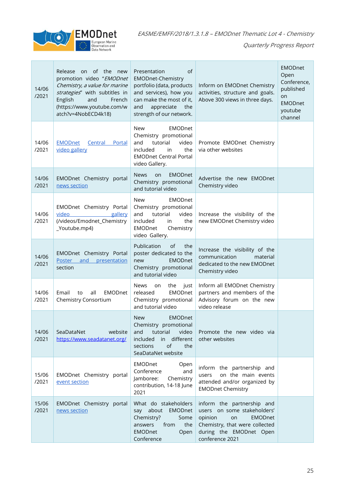

| 14/06<br>/2021 | Release on of the new<br>promotion video "EMODnet<br>Chemistry, a value for marine<br>strategies" with subtitles in<br>English<br>and<br>French<br>(https://www.youtube.com/w<br>atch?v=4NobECD4k18) | Presentation<br>of<br><b>EMODnet-Chemistry</b><br>portfolio (data, products<br>and services), how you<br>can make the most of it,<br>appreciate<br>and<br>the<br>strength of our network. | Inform on EMODnet Chemistry<br>activities, structure and goals.<br>Above 300 views in three days.                                                                            | <b>EMODnet</b><br>Open<br>Conference,<br>published<br>on<br><b>EMODnet</b><br>youtube<br>channel |
|----------------|------------------------------------------------------------------------------------------------------------------------------------------------------------------------------------------------------|-------------------------------------------------------------------------------------------------------------------------------------------------------------------------------------------|------------------------------------------------------------------------------------------------------------------------------------------------------------------------------|--------------------------------------------------------------------------------------------------|
| 14/06<br>/2021 | <b>EMODnet</b><br>Central Portal<br>video gallery                                                                                                                                                    | <b>New</b><br>EMODnet<br>Chemistry promotional<br>and<br>tutorial<br>video<br>included<br>the<br>in<br><b>EMODnet Central Portal</b><br>video Gallery.                                    | Promote EMODnet Chemistry<br>via other websites                                                                                                                              |                                                                                                  |
| 14/06<br>/2021 | EMODnet Chemistry portal<br>news section                                                                                                                                                             | <b>News</b><br><b>EMODnet</b><br>on<br>Chemistry promotional<br>and tutorial video                                                                                                        | Advertise the new EMODnet<br>Chemistry video                                                                                                                                 |                                                                                                  |
| 14/06<br>/2021 | EMODnet Chemistry Portal<br>video<br>gallery<br>(/videos/Emodnet_Chemistry<br>_Youtube.mp4)                                                                                                          | EMODnet<br>New<br>Chemistry promotional<br>and<br>tutorial<br>video<br>the<br>included<br>in<br>EMODnet<br>Chemistry<br>video Gallery.                                                    | Increase the visibility of the<br>new EMODnet Chemistry video                                                                                                                |                                                                                                  |
| 14/06<br>/2021 | EMODnet Chemistry Portal<br>Poster<br>and<br>presentation<br>section                                                                                                                                 | Publication<br>of<br>the<br>poster dedicated to the<br><b>EMODnet</b><br>new<br>Chemistry promotional<br>and tutorial video                                                               | Increase the visibility of the<br>communication<br>material<br>dedicated to the new EMODnet<br>Chemistry video                                                               |                                                                                                  |
| 14/06<br>/2021 | <b>EMODnet</b><br>Email<br>all<br>to<br>Chemistry Consortium                                                                                                                                         | <b>News</b><br>the<br>just<br>on<br><b>EMODnet</b><br>released<br>Chemistry promotional<br>and tutorial video                                                                             | Inform all EMODnet Chemistry<br>partners and members of the<br>Advisory forum on the new<br>video release                                                                    |                                                                                                  |
| 14/06<br>/2021 | SeaDataNet<br>website<br>https://www.seadatanet.org/                                                                                                                                                 | <b>EMODnet</b><br><b>New</b><br>Chemistry promotional<br>tutorial<br>video<br>and<br>in different<br>included<br>of<br>sections<br>the<br>SeaDataNet website                              | Promote the new video via<br>other websites                                                                                                                                  |                                                                                                  |
| 15/06<br>/2021 | EMODnet Chemistry portal<br>event section                                                                                                                                                            | EMODnet<br>Open<br>Conference<br>and<br>Jamboree:<br>Chemistry<br>contribution, 14-18 June<br>2021                                                                                        | inform the partnership and<br>on the main events<br>users<br>attended and/or organized by<br><b>EMODnet Chemistry</b>                                                        |                                                                                                  |
| 15/06<br>/2021 | EMODnet Chemistry portal<br>news section                                                                                                                                                             | What do stakeholders<br>say about<br>EMODnet<br>Chemistry?<br>Some<br>the<br>answers<br>from<br><b>EMODnet</b><br>Open<br>Conference                                                      | inform the partnership and<br>users on some stakeholders'<br>opinion<br><b>EMODnet</b><br>on<br>Chemistry, that were collected<br>during the EMODnet Open<br>conference 2021 |                                                                                                  |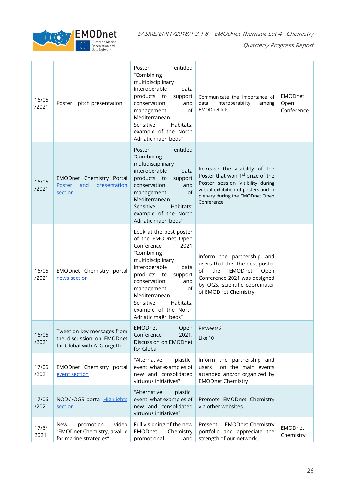

| 16/06<br>/2021 | Poster + pitch presentation                                                             | entitled<br>Poster<br>"Combining<br>multidisciplinary<br>interoperable<br>data<br>products to<br>support<br>conservation<br>and<br>of<br>management<br>Mediterranean<br>Sensitive<br>Habitats:<br>example of the North<br>Adriatic maërl beds"                                                   | Communicate the importance of<br>interoperability<br>data<br>among<br><b>EMODnet lots</b>                                                                                                                   | <b>EMODnet</b><br>Open<br>Conference |
|----------------|-----------------------------------------------------------------------------------------|--------------------------------------------------------------------------------------------------------------------------------------------------------------------------------------------------------------------------------------------------------------------------------------------------|-------------------------------------------------------------------------------------------------------------------------------------------------------------------------------------------------------------|--------------------------------------|
| 16/06<br>/2021 | EMODnet Chemistry Portal<br>Poster and presentation<br>section                          | entitled<br>Poster<br>"Combining<br>multidisciplinary<br>interoperable<br>data<br>products to<br>support<br>conservation<br>and<br>of<br>management<br>Mediterranean<br>Sensitive<br>Habitats:<br>example of the North<br>Adriatic maërl beds"                                                   | Increase the visibility of the<br>Poster that won 1 <sup>st</sup> prize of the<br>Poster session Visibility during<br>virtual exhibition of posters and in<br>plenary during the EMODnet Open<br>Conference |                                      |
| 16/06<br>/2021 | EMODnet Chemistry portal<br>news section                                                | Look at the best poster<br>of the EMODnet Open<br>Conference<br>2021<br>"Combining<br>multidisciplinary<br>interoperable<br>data<br>products to<br>support<br>conservation<br>and<br>management<br>οf<br>Mediterranean<br>Sensitive<br>Habitats:<br>example of the North<br>Adriatic maërl beds" | inform the partnership and<br>users that the the best poster<br>of<br>the<br>EMODnet<br>Open<br>Conference 2021 was designed<br>by OGS, scientific coordinator<br>of EMODnet Chemistry                      |                                      |
| 16/06<br>/2021 | Tweet on key messages from<br>the discussion on EMODnet<br>for Global with A. Giorgetti | <b>EMODnet</b><br>Open<br>Conference<br>2021:<br>Discussion on EMODnet<br>for Global                                                                                                                                                                                                             | Retweets 2<br>Like 10                                                                                                                                                                                       |                                      |
| 17/06<br>/2021 | EMODnet Chemistry portal<br>event section                                               | "Alternative<br>plastic"<br>event: what examples of<br>new and consolidated<br>virtuous initiatives?                                                                                                                                                                                             | inform the partnership and<br>on the main events<br>users<br>attended and/or organized by<br><b>EMODnet Chemistry</b>                                                                                       |                                      |
| 17/06<br>/2021 | NODC/OGS portal Highlights<br>section                                                   | "Alternative<br>plastic"<br>event: what examples of<br>new and consolidated<br>virtuous initiatives?                                                                                                                                                                                             | Promote EMODnet Chemistry<br>via other websites                                                                                                                                                             |                                      |
| 17/6/<br>2021  | New<br>promotion<br>video<br>"EMODnet Chemistry, a value<br>for marine strategies"      | Full visioning of the new<br>Chemistry<br>EMODnet<br>promotional<br>and                                                                                                                                                                                                                          | <b>EMODnet-Chemistry</b><br>Present<br>portfolio and appreciate the<br>strength of our network.                                                                                                             | <b>EMODnet</b><br>Chemistry          |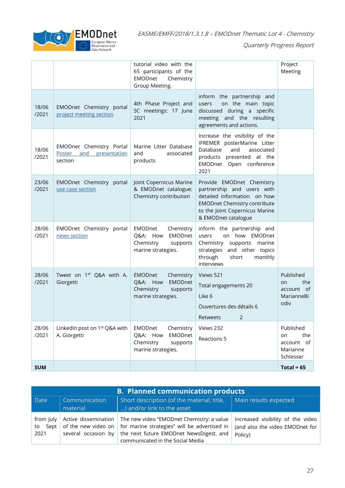

|                |                                                                | tutorial video with the<br>65 participants of the<br>EMODnet<br>Chemistry<br>Group Meeting.              |                                                                                                                                                                                        | Project<br>Meeting                                            |
|----------------|----------------------------------------------------------------|----------------------------------------------------------------------------------------------------------|----------------------------------------------------------------------------------------------------------------------------------------------------------------------------------------|---------------------------------------------------------------|
| 18/06<br>/2021 | EMODnet Chemistry portal<br>project meeting section            | 4th Phase Project and<br>SC meetings: 17 June<br>2021                                                    | inform the partnership and<br>on the main topic<br>users<br>discussed during a specific<br>meeting and the resulting<br>agreements and actions.                                        |                                                               |
| 18/06<br>/2021 | EMODnet Chemistry Portal<br>Poster and presentation<br>section | Marine Litter Database<br>and<br>associated<br>products                                                  | Increase the visibility of the<br>IFREMER posterMarine Litter<br>Database<br>and<br>associated<br>products presented at the<br>EMODnet Open conference<br>2021                         |                                                               |
| 23/06<br>/2021 | EMODnet Chemistry portal<br>use case section                   | Joint Copernicus Marine<br>& EMODnet catalogue:<br>Chemistry contribution                                | Provide EMODnet Chemistry<br>partnership and users with<br>detailed information on how<br><b>EMODnet Chemistry contribute</b><br>to the Joint Copernicus Marine<br>& EMODnet catalogue |                                                               |
| 28/06<br>/2021 | EMODnet Chemistry portal<br>news section                       | EMODnet<br>Chemistry<br>EMODnet<br>Q&A: How<br>Chemistry<br>supports<br>marine strategies.               | inform the partnership and<br>on how EMODnet<br>users<br>Chemistry supports marine<br>strategies and other topics<br>through<br>short<br>monthly<br>interviews                         |                                                               |
| 28/06<br>/2021 | Tweet on 1 <sup>st</sup> Q&A with A.<br>Giorgetti              | <b>EMODnet</b><br>Chemistry<br><b>EMODnet</b><br>Q&A: How<br>Chemistry<br>supports<br>marine strategies. | Views 521<br>Total engagements 20<br>Like 6<br>Ouvertures des détails 6<br>Retweets<br>2                                                                                               | Published<br>the<br>on<br>account of<br>MarianneBi<br>odiv    |
| 28/06<br>/2021 | LinkedIn post on 1 <sup>st</sup> Q&A with<br>A. Giorgetti      | EMODnet<br>Chemistry<br>Q&A: How<br>EMODnet<br>Chemistry<br>supports<br>marine strategies.               | Views 232<br>Reactions 5                                                                                                                                                               | Published<br>the<br>on<br>account of<br>Marianne<br>Schlesser |
| <b>SUM</b>     |                                                                |                                                                                                          |                                                                                                                                                                                        | Total = $65$                                                  |

| <b>B. Planned communication products</b> |                           |                                                                                                                                                                                                                                           |                                                                                 |
|------------------------------------------|---------------------------|-------------------------------------------------------------------------------------------------------------------------------------------------------------------------------------------------------------------------------------------|---------------------------------------------------------------------------------|
| Date                                     | Communication<br>material | Short description (of the material, title,<br>) and/or link to the asset                                                                                                                                                                  | Main results expected                                                           |
| from luly  <br>to Sept<br>2021           |                           | Active dissemination   The new video "EMODnet Chemistry: a value<br>of the new video on   for marine strategies" will be advertised in<br>several occasion by the next future EMODnet NewsDigest, and<br>communicated in the Social Media | Increased visibility of the video<br>(and also the video EMODnet for<br>Policy) |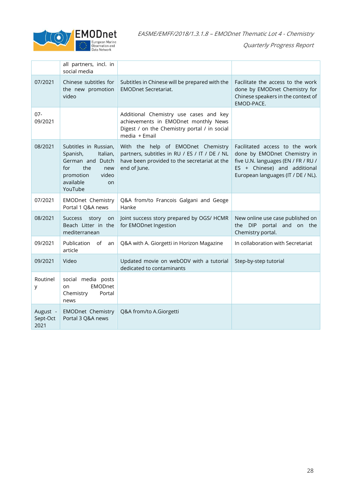

|                              | all partners, incl. in<br>social media                                                                                                     |                                                                                                                                                     |                                                                                                                                                                             |
|------------------------------|--------------------------------------------------------------------------------------------------------------------------------------------|-----------------------------------------------------------------------------------------------------------------------------------------------------|-----------------------------------------------------------------------------------------------------------------------------------------------------------------------------|
| 07/2021                      | Chinese subtitles for<br>the new promotion<br>video                                                                                        | Subtitles in Chinese will be prepared with the<br><b>EMODnet Secretariat.</b>                                                                       | Facilitate the access to the work<br>done by EMODnet Chemistry for<br>Chinese speakers in the context of<br>EMOD-PACE.                                                      |
| $07 -$<br>09/2021            |                                                                                                                                            | Additional Chemistry use cases and key<br>achievements in EMODnet monthly News<br>Digest / on the Chemistry portal / in social<br>media + Email     |                                                                                                                                                                             |
| 08/2021                      | Subtitles in Russian,<br>Spanish,<br>Italian,<br>German and Dutch<br>the<br>for<br>new<br>promotion<br>video<br>available<br>on<br>YouTube | With the help of EMODnet Chemistry<br>partners, subtitles in RU / ES / IT / DE / NL<br>have been provided to the secretariat at the<br>end of June. | Facilitated access to the work<br>done by EMODnet Chemistry in<br>five U.N. languages (EN / FR / RU /<br>ES + Chinese) and additional<br>European languages (IT / DE / NL). |
| 07/2021                      | <b>EMODnet Chemistry</b><br>Portal 1 Q&A news                                                                                              | Q&A from/to Francois Galgani and Geoge<br>Hanke                                                                                                     |                                                                                                                                                                             |
| 08/2021                      | Success story<br>on<br>Beach Litter in the<br>mediterranean                                                                                | Joint success story prepared by OGS/ HCMR<br>for EMODnet Ingestion                                                                                  | New online use case published on<br>the DIP portal and on the<br>Chemistry portal.                                                                                          |
| 09/2021                      | Publication<br>0f<br>an<br>article                                                                                                         | Q&A with A. Giorgetti in Horizon Magazine                                                                                                           | In collaboration with Secretariat                                                                                                                                           |
| 09/2021                      | Video                                                                                                                                      | Updated movie on webODV with a tutorial<br>dedicated to contaminants                                                                                | Step-by-step tutorial                                                                                                                                                       |
| Routinel<br>у                | social media posts<br><b>EMODnet</b><br>on<br>Chemistry<br>Portal<br>news                                                                  |                                                                                                                                                     |                                                                                                                                                                             |
| August -<br>Sept-Oct<br>2021 | <b>EMODnet Chemistry</b><br>Portal 3 Q&A news                                                                                              | Q&A from/to A.Giorgetti                                                                                                                             |                                                                                                                                                                             |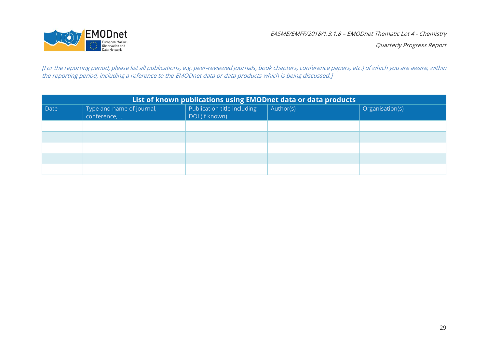

[For the reporting period, please list all publications, e.g. peer-reviewed journals, book chapters, conference papers, etc.) of which you are aware, within the reporting period, including a reference to the EMODnet data or data products which is being discussed.]

| List of known publications using EMODnet data or data products |                                          |                                               |           |                 |
|----------------------------------------------------------------|------------------------------------------|-----------------------------------------------|-----------|-----------------|
| Date                                                           | Type and name of journal,<br>conference, | Publication title including<br>DOI (if known) | Author(s) | Organisation(s) |
|                                                                |                                          |                                               |           |                 |
|                                                                |                                          |                                               |           |                 |
|                                                                |                                          |                                               |           |                 |
|                                                                |                                          |                                               |           |                 |
|                                                                |                                          |                                               |           |                 |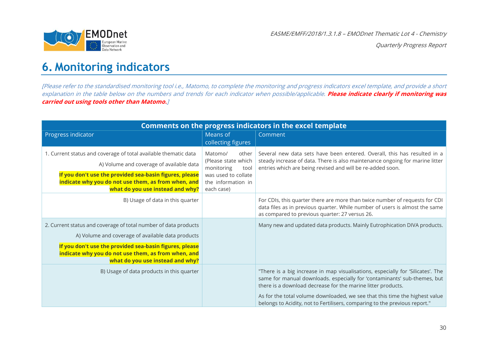

Quarterly Progress Report

### **6. Monitoring indicators**

[Please refer to the standardised monitoring tool i.e., Matomo, to complete the monitoring and progress indicators excel template, and provide a short explanation in the table below on the numbers and trends for each indicator when possible/applicable. **Please indicate clearly if monitoring was carried out using tools other than Matomo.**]

<span id="page-29-0"></span>

| Comments on the progress indicators in the excel template                                                                                                                                                                                                                  |                                                                                                                          |                                                                                                                                                                                                                                                                                                                                                                                          |  |
|----------------------------------------------------------------------------------------------------------------------------------------------------------------------------------------------------------------------------------------------------------------------------|--------------------------------------------------------------------------------------------------------------------------|------------------------------------------------------------------------------------------------------------------------------------------------------------------------------------------------------------------------------------------------------------------------------------------------------------------------------------------------------------------------------------------|--|
| Progress indicator                                                                                                                                                                                                                                                         | Means of<br>collecting figures                                                                                           | Comment                                                                                                                                                                                                                                                                                                                                                                                  |  |
| 1. Current status and coverage of total available thematic data<br>A) Volume and coverage of available data<br>If you don't use the provided sea-basin figures, please<br>indicate why you do not use them, as from when, and<br>what do you use instead and why?          | other<br>Matomo/<br>(Please state which<br>monitoring<br>tool<br>was used to collate<br>the information in<br>each case) | Several new data sets have been entered. Overall, this has resulted in a<br>steady increase of data. There is also maintenance ongoing for marine litter<br>entries which are being revised and will be re-added soon.                                                                                                                                                                   |  |
| B) Usage of data in this quarter                                                                                                                                                                                                                                           |                                                                                                                          | For CDIs, this quarter there are more than twice number of requests for CDI<br>data files as in previous quarter. While number of users is almost the same<br>as compared to previous quarter: 27 versus 26.                                                                                                                                                                             |  |
| 2. Current status and coverage of total number of data products<br>A) Volume and coverage of available data products<br>If you don't use the provided sea-basin figures, please<br>indicate why you do not use them, as from when, and<br>what do you use instead and why? |                                                                                                                          | Many new and updated data products. Mainly Eutrophication DIVA products.                                                                                                                                                                                                                                                                                                                 |  |
| B) Usage of data products in this quarter                                                                                                                                                                                                                                  |                                                                                                                          | "There is a big increase in map visualisations, especially for 'Silicates'. The<br>same for manual downloads. especially for 'contaminants' sub-themes, but<br>there is a download decrease for the marine litter products.<br>As for the total volume downloaded, we see that this time the highest value<br>belongs to Acidity, not to Fertilisers, comparing to the previous report." |  |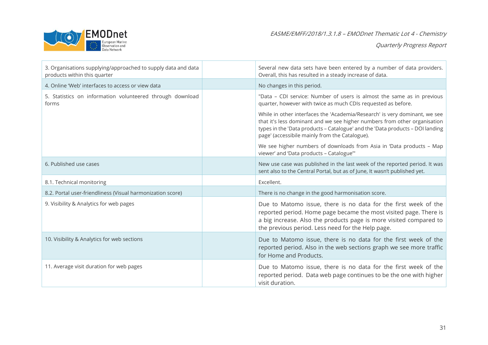

| 3. Organisations supplying/approached to supply data and data<br>products within this quarter | Several new data sets have been entered by a number of data providers.<br>Overall, this has resulted in a steady increase of data.                                                                                                                                                         |
|-----------------------------------------------------------------------------------------------|--------------------------------------------------------------------------------------------------------------------------------------------------------------------------------------------------------------------------------------------------------------------------------------------|
| 4. Online 'Web' interfaces to access or view data                                             | No changes in this period.                                                                                                                                                                                                                                                                 |
| 5. Statistics on information volunteered through download<br>forms                            | "Data - CDI service: Number of users is almost the same as in previous<br>quarter, however with twice as much CDIs requested as before.                                                                                                                                                    |
|                                                                                               | While in other interfaces the 'Academia/Research' is very dominant, we see<br>that it's less dominant and we see higher numbers from other organisation<br>types in the 'Data products - Catalogue' and the 'Data products - DOI landing<br>page' (accessibile mainly from the Catalogue). |
|                                                                                               | We see higher numbers of downloads from Asia in 'Data products - Map<br>viewer' and 'Data products - Catalogue'"                                                                                                                                                                           |
| 6. Published use cases                                                                        | New use case was published in the last week of the reported period. It was<br>sent also to the Central Portal, but as of June, It wasn't published yet.                                                                                                                                    |
| 8.1. Technical monitoring                                                                     | Excellent.                                                                                                                                                                                                                                                                                 |
| 8.2. Portal user-friendliness (Visual harmonization score)                                    | There is no change in the good harmonisation score.                                                                                                                                                                                                                                        |
| 9. Visibility & Analytics for web pages                                                       | Due to Matomo issue, there is no data for the first week of the<br>reported period. Home page became the most visited page. There is<br>a big increase. Also the products page is more visited compared to<br>the previous period. Less need for the Help page.                            |
| 10. Visibility & Analytics for web sections                                                   | Due to Matomo issue, there is no data for the first week of the<br>reported period. Also in the web sections graph we see more traffic<br>for Home and Products.                                                                                                                           |
| 11. Average visit duration for web pages                                                      | Due to Matomo issue, there is no data for the first week of the<br>reported period. Data web page continues to be the one with higher<br>visit duration.                                                                                                                                   |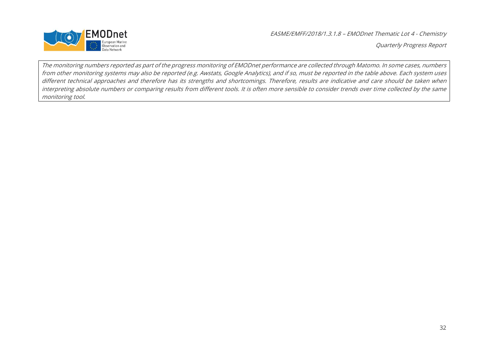

Quarterly Progress Report

The monitoring numbers reported as part of the progress monitoring of EMODnet performance are collected through Matomo. In some cases, numbers from other monitoring systems may also be reported (e.g. Awstats, Google Analytics), and if so, must be reported in the table above. Each system uses different technical approaches and therefore has its strengths and shortcomings. Therefore, results are indicative and care should be taken when interpreting absolute numbers or comparing results from different tools. It is often more sensible to consider trends over time collected by the same monitoring tool.